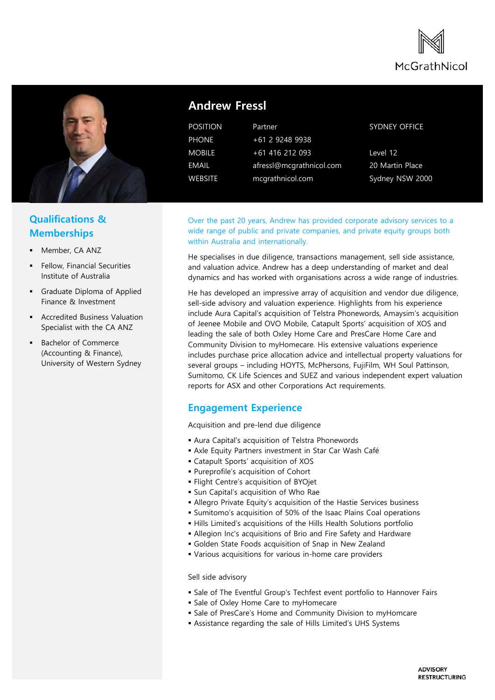



# **Andrew Fressl**

POSITION Partner

PHONE +61 2 9248 9938 MOBILE +61 416 212 093 EMAIL afressl@mcgrathnicol.com WEBSITE mcgrathnicol.com

#### SYDNEY OFFICE

Level 12 20 Martin Place Sydney NSW 2000

## **Qualifications & Memberships**

- Member, CA ANZ
- Fellow, Financial Securities Institute of Australia
- Graduate Diploma of Applied Finance & Investment
- Accredited Business Valuation Specialist with the CA ANZ
- Bachelor of Commerce (Accounting & Finance), University of Western Sydney

Over the past 20 years, Andrew has provided corporate advisory services to a wide range of public and private companies, and private equity groups both within Australia and internationally.

He specialises in due diligence, transactions management, sell side assistance, and valuation advice. Andrew has a deep understanding of market and deal dynamics and has worked with organisations across a wide range of industries.

He has developed an impressive array of acquisition and vendor due diligence, sell-side advisory and valuation experience. Highlights from his experience include Aura Capital's acquisition of Telstra Phonewords, Amaysim's acquisition of Jeenee Mobile and OVO Mobile, Catapult Sports' acquisition of XOS and leading the sale of both Oxley Home Care and PresCare Home Care and Community Division to myHomecare. His extensive valuations experience includes purchase price allocation advice and intellectual property valuations for several groups – including HOYTS, McPhersons, FujiFilm, WH Soul Pattinson, Sumitomo, CK Life Sciences and SUEZ and various independent expert valuation reports for ASX and other Corporations Act requirements.

### **Engagement Experience**

Acquisition and pre-lend due diligence

- Aura Capital's acquisition of Telstra Phonewords
- Axle Equity Partners investment in Star Car Wash Café
- Catapult Sports' acquisition of XOS
- Pureprofile's acquisition of Cohort
- Flight Centre's acquisition of BYOjet
- **Sun Capital's acquisition of Who Rae**
- Allegro Private Equity's acquisition of the Hastie Services business
- Sumitomo's acquisition of 50% of the Isaac Plains Coal operations
- Hills Limited's acquisitions of the Hills Health Solutions portfolio
- Allegion Inc's acquisitions of Brio and Fire Safety and Hardware
- Golden State Foods acquisition of Snap in New Zealand
- Various acquisitions for various in-home care providers

Sell side advisory

- Sale of The Eventful Group's Techfest event portfolio to Hannover Fairs
- **Sale of Oxley Home Care to myHomecare**
- **Sale of PresCare's Home and Community Division to myHomcare**
- Assistance regarding the sale of Hills Limited's UHS Systems